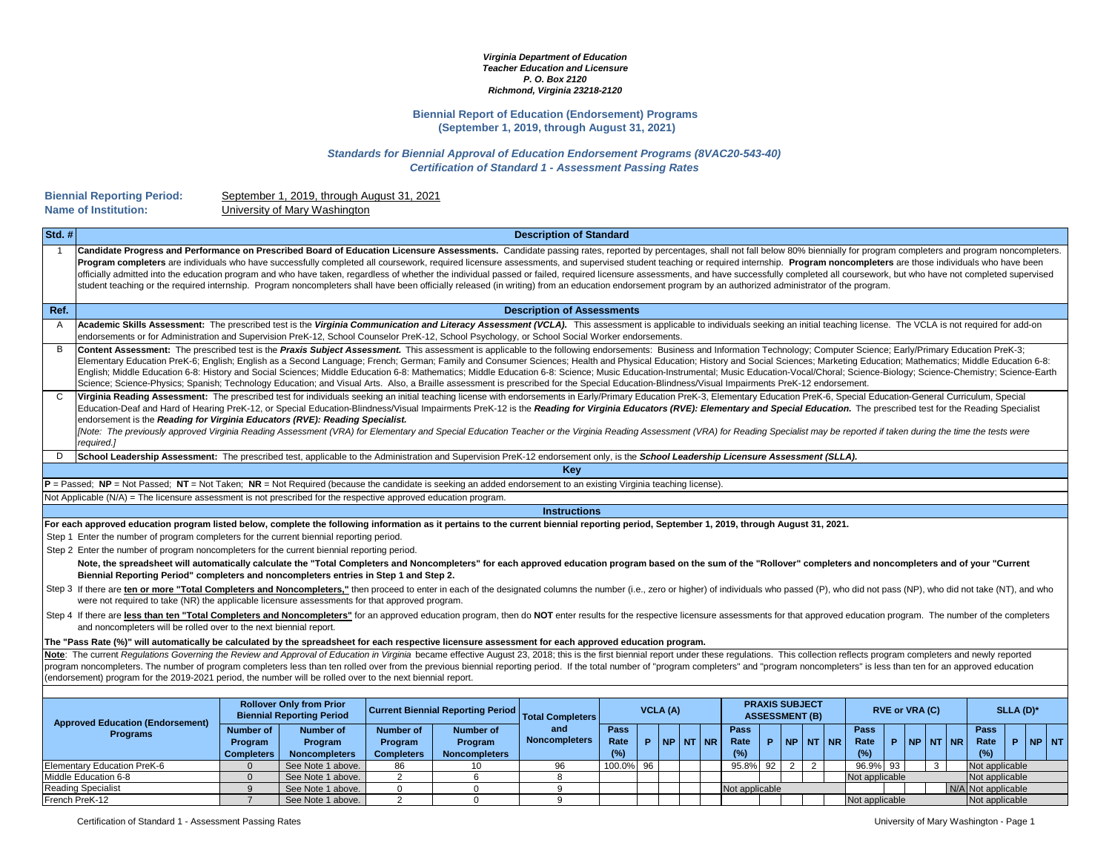## *Virginia Department of Education Teacher Education and Licensure P. O. Box 2120 Richmond, Virginia 23218-2120*

## **Biennial Report of Education (Endorsement) Programs (September 1, 2019, through August 31, 2021)**

## *Standards for Biennial Approval of Education Endorsement Programs (8VAC20-543-40) Certification of Standard 1 - Assessment Passing Rates*

## **Name of Institution: Biennial Reporting Period:**

University of Mary Washington September 1, 2019, through August 31, 2021

| Std.#                                                                                                                                                                                                                                                                                                                                         |                                                                                                                                                                                                                                                                                                                                                                                                                                                                                                                                                                                                                                                                                                                                                                                                                                                                                                                |                                                                 |                                                                     |                                          |                                 | <b>Description of Standard</b>    |                 |    |                     |  |                                                |                |                     |              |                |                       |       |                               |  |  |      |
|-----------------------------------------------------------------------------------------------------------------------------------------------------------------------------------------------------------------------------------------------------------------------------------------------------------------------------------------------|----------------------------------------------------------------------------------------------------------------------------------------------------------------------------------------------------------------------------------------------------------------------------------------------------------------------------------------------------------------------------------------------------------------------------------------------------------------------------------------------------------------------------------------------------------------------------------------------------------------------------------------------------------------------------------------------------------------------------------------------------------------------------------------------------------------------------------------------------------------------------------------------------------------|-----------------------------------------------------------------|---------------------------------------------------------------------|------------------------------------------|---------------------------------|-----------------------------------|-----------------|----|---------------------|--|------------------------------------------------|----------------|---------------------|--------------|----------------|-----------------------|-------|-------------------------------|--|--|------|
|                                                                                                                                                                                                                                                                                                                                               | Candidate Progress and Performance on Prescribed Board of Education Licensure Assessments. Candidate passing rates, reported by percentages, shall not fall below 80% biennially for program completers and program noncomplet<br>Program completers are individuals who have successfully completed all coursework, required licensure assessments, and supervised student teaching or required internship. Program noncompleters are those individuals who hav<br>officially admitted into the education program and who have taken, regardless of whether the individual passed or failed, required licensure assessments, and have successfully completed all coursework, but who have not com<br>student teaching or the required internship. Program noncompleters shall have been officially released (in writing) from an education endorsement program by an authorized administrator of the program. |                                                                 |                                                                     |                                          |                                 |                                   |                 |    |                     |  |                                                |                |                     |              |                |                       |       |                               |  |  |      |
| Ref.                                                                                                                                                                                                                                                                                                                                          |                                                                                                                                                                                                                                                                                                                                                                                                                                                                                                                                                                                                                                                                                                                                                                                                                                                                                                                |                                                                 |                                                                     |                                          |                                 | <b>Description of Assessments</b> |                 |    |                     |  |                                                |                |                     |              |                |                       |       |                               |  |  |      |
| A                                                                                                                                                                                                                                                                                                                                             | Academic Skills Assessment: The prescribed test is the Virginia Communication and Literacy Assessment (VCLA). This assessment is applicable to individuals seeking an initial teaching license. The VCLA is not required for a<br>endorsements or for Administration and Supervision PreK-12, School Counselor PreK-12, School Psychology, or School Social Worker endorsements.                                                                                                                                                                                                                                                                                                                                                                                                                                                                                                                               |                                                                 |                                                                     |                                          |                                 |                                   |                 |    |                     |  |                                                |                |                     |              |                |                       |       |                               |  |  |      |
| B                                                                                                                                                                                                                                                                                                                                             | Content Assessment: The prescribed test is the Praxis Subject Assessment. This assessment is applicable to the following endorsements: Business and Information Technology; Computer Science; Early/Primary Education PreK-3;<br>Elementary Education PreK-6; English; English as a Second Language; French; German; Family and Consumer Sciences; Health and Physical Education; History and Social Sciences; Marketing Education; Mathematics; Middle Educati<br>English; Middle Education 6-8: History and Social Sciences; Middle Education 6-8: Mathematics; Middle Education 6-8: Science; Music Education-Instrumental; Music Education-Vocal/Choral; Science-Biology; Science-Chemistry;<br>Science; Science-Physics; Spanish; Technology Education; and Visual Arts. Also, a Braille assessment is prescribed for the Special Education-Blindness/Visual Impairments PreK-12 endorsement.             |                                                                 |                                                                     |                                          |                                 |                                   |                 |    |                     |  |                                                |                |                     |              |                |                       |       |                               |  |  |      |
|                                                                                                                                                                                                                                                                                                                                               | Virginia Reading Assessment: The prescribed test for individuals seeking an initial teaching license with endorsements in Early/Primary Education PreK-3, Elementary Education PreK-6, Special Education-General Curriculum, S<br>Education-Deaf and Hard of Hearing PreK-12, or Special Education-Blindness/Visual Impairments PreK-12 is the Reading for Virginia Educators (RVE): Elementary and Special Education. The prescribed test for the Reading Speci<br>endorsement is the Reading for Virginia Educators (RVE): Reading Specialist.<br>[Note: The previously approved Virginia Reading Assessment (VRA) for Elementary and Special Education Teacher or the Virginia Reading Assessment (VRA) for Reading Specialist may be reported if taken during the time the tes<br>required.]                                                                                                               |                                                                 |                                                                     |                                          |                                 |                                   |                 |    |                     |  |                                                |                |                     |              |                |                       |       |                               |  |  |      |
| D.                                                                                                                                                                                                                                                                                                                                            | School Leadership Assessment: The prescribed test, applicable to the Administration and Supervision PreK-12 endorsement only, is the School Leadership Licensure Assessment (SLLA).                                                                                                                                                                                                                                                                                                                                                                                                                                                                                                                                                                                                                                                                                                                            |                                                                 |                                                                     |                                          |                                 |                                   |                 |    |                     |  |                                                |                |                     |              |                |                       |       |                               |  |  |      |
|                                                                                                                                                                                                                                                                                                                                               |                                                                                                                                                                                                                                                                                                                                                                                                                                                                                                                                                                                                                                                                                                                                                                                                                                                                                                                |                                                                 |                                                                     |                                          |                                 | Key                               |                 |    |                     |  |                                                |                |                     |              |                |                       |       |                               |  |  |      |
|                                                                                                                                                                                                                                                                                                                                               | $P =$ Passed; NP = Not Passed; NT = Not Taken; NR = Not Required (because the candidate is seeking an added endorsement to an existing Virginia teaching license).                                                                                                                                                                                                                                                                                                                                                                                                                                                                                                                                                                                                                                                                                                                                             |                                                                 |                                                                     |                                          |                                 |                                   |                 |    |                     |  |                                                |                |                     |              |                |                       |       |                               |  |  |      |
|                                                                                                                                                                                                                                                                                                                                               | Not Applicable $(N/A)$ = The licensure assessment is not prescribed for the respective approved education program.                                                                                                                                                                                                                                                                                                                                                                                                                                                                                                                                                                                                                                                                                                                                                                                             |                                                                 |                                                                     |                                          |                                 |                                   |                 |    |                     |  |                                                |                |                     |              |                |                       |       |                               |  |  |      |
| <b>Instructions</b>                                                                                                                                                                                                                                                                                                                           |                                                                                                                                                                                                                                                                                                                                                                                                                                                                                                                                                                                                                                                                                                                                                                                                                                                                                                                |                                                                 |                                                                     |                                          |                                 |                                   |                 |    |                     |  |                                                |                |                     |              |                |                       |       |                               |  |  |      |
|                                                                                                                                                                                                                                                                                                                                               | For each approved education program listed below, complete the following information as it pertains to the current biennial reporting period, September 1, 2019, through August 31, 2021.                                                                                                                                                                                                                                                                                                                                                                                                                                                                                                                                                                                                                                                                                                                      |                                                                 |                                                                     |                                          |                                 |                                   |                 |    |                     |  |                                                |                |                     |              |                |                       |       |                               |  |  |      |
|                                                                                                                                                                                                                                                                                                                                               | Step 1 Enter the number of program completers for the current biennial reporting period.                                                                                                                                                                                                                                                                                                                                                                                                                                                                                                                                                                                                                                                                                                                                                                                                                       |                                                                 |                                                                     |                                          |                                 |                                   |                 |    |                     |  |                                                |                |                     |              |                |                       |       |                               |  |  |      |
|                                                                                                                                                                                                                                                                                                                                               | Step 2 Enter the number of program noncompleters for the current biennial reporting period.                                                                                                                                                                                                                                                                                                                                                                                                                                                                                                                                                                                                                                                                                                                                                                                                                    |                                                                 |                                                                     |                                          |                                 |                                   |                 |    |                     |  |                                                |                |                     |              |                |                       |       |                               |  |  |      |
|                                                                                                                                                                                                                                                                                                                                               | Note, the spreadsheet will automatically calculate the "Total Completers and Noncompleters" for each approved education program based on the sum of the "Rollover" completers and noncompleters and df your "Current<br>Biennial Reporting Period" completers and noncompleters entries in Step 1 and Step 2.                                                                                                                                                                                                                                                                                                                                                                                                                                                                                                                                                                                                  |                                                                 |                                                                     |                                          |                                 |                                   |                 |    |                     |  |                                                |                |                     |              |                |                       |       |                               |  |  |      |
|                                                                                                                                                                                                                                                                                                                                               | Step 3 If there are ten or more "Total Completers and Noncompleters," then proceed to enter in each of the designated columns the number (i.e., zero or higher) of individuals who passed (P), who did not pass (NP), who did<br>were not required to take (NR) the applicable licensure assessments for that approved program.                                                                                                                                                                                                                                                                                                                                                                                                                                                                                                                                                                                |                                                                 |                                                                     |                                          |                                 |                                   |                 |    |                     |  |                                                |                |                     |              |                |                       |       |                               |  |  |      |
| Step 4 If there are less than ten "Total Completers and Noncompleters" for an approved education program, then do NOT enter results for the respective licensure assessments for that approved education program. The number o<br>and noncompleters will be rolled over to the next biennial report.                                          |                                                                                                                                                                                                                                                                                                                                                                                                                                                                                                                                                                                                                                                                                                                                                                                                                                                                                                                |                                                                 |                                                                     |                                          |                                 |                                   |                 |    |                     |  |                                                |                |                     |              |                |                       |       |                               |  |  |      |
|                                                                                                                                                                                                                                                                                                                                               | The "Pass Rate (%)" will automatically be calculated by the spreadsheet for each respective licensure assessment for each approved education program.                                                                                                                                                                                                                                                                                                                                                                                                                                                                                                                                                                                                                                                                                                                                                          |                                                                 |                                                                     |                                          |                                 |                                   |                 |    |                     |  |                                                |                |                     |              |                |                       |       |                               |  |  |      |
| Note: The current Regulations Governing the Review and Approval of Education in Virginia became effective August 23, 2018; this is the first biennial report under these regulations. This collection reflects program complet                                                                                                                |                                                                                                                                                                                                                                                                                                                                                                                                                                                                                                                                                                                                                                                                                                                                                                                                                                                                                                                |                                                                 |                                                                     |                                          |                                 |                                   |                 |    |                     |  |                                                |                |                     |              |                |                       |       |                               |  |  |      |
| program noncompleters. The number of program completers less than ten rolled over from the previous biennial reporting period. If the total number of "program completers" and "program noncompleters" is less than ten for an<br>(endorsement) program for the 2019-2021 period, the number will be rolled over to the next biennial report. |                                                                                                                                                                                                                                                                                                                                                                                                                                                                                                                                                                                                                                                                                                                                                                                                                                                                                                                |                                                                 |                                                                     |                                          |                                 |                                   |                 |    |                     |  |                                                |                |                     |              |                |                       |       |                               |  |  |      |
|                                                                                                                                                                                                                                                                                                                                               |                                                                                                                                                                                                                                                                                                                                                                                                                                                                                                                                                                                                                                                                                                                                                                                                                                                                                                                |                                                                 |                                                                     |                                          |                                 |                                   |                 |    |                     |  |                                                |                |                     |              |                |                       |       |                               |  |  |      |
|                                                                                                                                                                                                                                                                                                                                               | <b>Approved Education (Endorsement)</b>                                                                                                                                                                                                                                                                                                                                                                                                                                                                                                                                                                                                                                                                                                                                                                                                                                                                        |                                                                 | <b>Rollover Only from Prior</b><br><b>Biennial Reporting Period</b> | <b>Current Biennial Reporting Period</b> |                                 | <b>Total Completers</b>           | <b>VCLA (A)</b> |    |                     |  | <b>PRAXIS SUBJECT</b><br><b>ASSESSMENT (B)</b> |                |                     |              |                | <b>RVE or VRA (C)</b> |       | SLLA (D)*                     |  |  |      |
|                                                                                                                                                                                                                                                                                                                                               | <b>Programs</b>                                                                                                                                                                                                                                                                                                                                                                                                                                                                                                                                                                                                                                                                                                                                                                                                                                                                                                | <b>Number of</b>                                                | <b>Number of</b>                                                    | <b>Number of</b>                         | <b>Number of</b>                | and                               | Pass            |    |                     |  |                                                |                |                     | Pass         |                |                       |       | Pass                          |  |  | Pass |
|                                                                                                                                                                                                                                                                                                                                               |                                                                                                                                                                                                                                                                                                                                                                                                                                                                                                                                                                                                                                                                                                                                                                                                                                                                                                                | Program<br><b>Completers</b>                                    | Program<br><b>Noncompleters</b>                                     | Program<br><b>Completers</b>             | Program<br><b>Noncompleters</b> | <b>Noncompleters</b>              | Rate<br>(%)     |    | <b>P</b> INP NT INR |  | Rate<br>(%)                                    | P.             | NP                  | <b>NT NR</b> | Rate<br>(%)    | P.<br><b>NP</b>       | NT NR | Rate<br><b>P</b> NP NT<br>(%) |  |  |      |
|                                                                                                                                                                                                                                                                                                                                               | <b>Elementary Education PreK-6</b>                                                                                                                                                                                                                                                                                                                                                                                                                                                                                                                                                                                                                                                                                                                                                                                                                                                                             | $\Omega$                                                        | See Note 1 above.                                                   | 86                                       | 10                              | 96                                | 100.0%          | 96 |                     |  | 95.8%                                          | 92             | 2 <sup>1</sup><br>2 |              | 96.9%          | 93                    | 3     | Not applicable                |  |  |      |
|                                                                                                                                                                                                                                                                                                                                               | Middle Education 6-8                                                                                                                                                                                                                                                                                                                                                                                                                                                                                                                                                                                                                                                                                                                                                                                                                                                                                           | $\overline{2}$<br>$\overline{0}$<br>See Note 1 above.<br>6<br>8 |                                                                     |                                          |                                 |                                   |                 |    |                     |  |                                                | Not applicable |                     |              | Not applicable |                       |       |                               |  |  |      |
|                                                                                                                                                                                                                                                                                                                                               | <b>Reading Specialist</b>                                                                                                                                                                                                                                                                                                                                                                                                                                                                                                                                                                                                                                                                                                                                                                                                                                                                                      | 9                                                               | See Note 1 above.                                                   | $\Omega$                                 | $\Omega$                        | 9                                 |                 |    |                     |  | Not applicable                                 |                |                     |              |                |                       |       | N/A Not applicable            |  |  |      |
|                                                                                                                                                                                                                                                                                                                                               | French PreK-12                                                                                                                                                                                                                                                                                                                                                                                                                                                                                                                                                                                                                                                                                                                                                                                                                                                                                                 | $\overline{7}$                                                  | See Note 1 above.                                                   | 2                                        | $\mathbf 0$                     | 9                                 |                 |    |                     |  |                                                |                |                     |              | Not applicable |                       |       | Not applicable                |  |  |      |